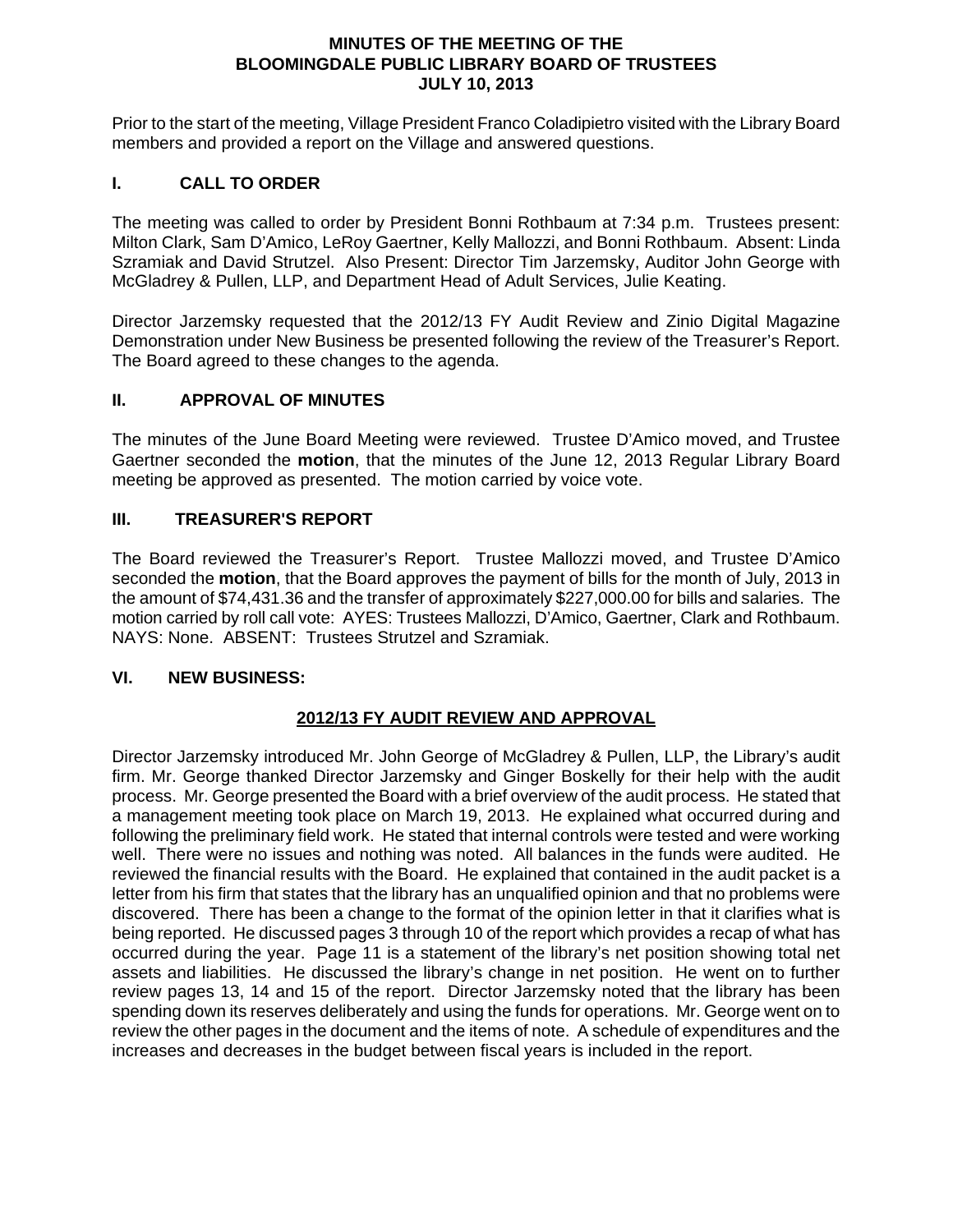#### **MINUTES OF THE MEETING OF THE BLOOMINGDALE PUBLIC LIBRARY BOARD OF TRUSTEES JULY 10, 2013**

Prior to the start of the meeting, Village President Franco Coladipietro visited with the Library Board members and provided a report on the Village and answered questions.

### **I. CALL TO ORDER**

The meeting was called to order by President Bonni Rothbaum at 7:34 p.m. Trustees present: Milton Clark, Sam D'Amico, LeRoy Gaertner, Kelly Mallozzi, and Bonni Rothbaum. Absent: Linda Szramiak and David Strutzel. Also Present: Director Tim Jarzemsky, Auditor John George with McGladrey & Pullen, LLP, and Department Head of Adult Services, Julie Keating.

Director Jarzemsky requested that the 2012/13 FY Audit Review and Zinio Digital Magazine Demonstration under New Business be presented following the review of the Treasurer's Report. The Board agreed to these changes to the agenda.

#### **II. APPROVAL OF MINUTES**

The minutes of the June Board Meeting were reviewed. Trustee D'Amico moved, and Trustee Gaertner seconded the **motion**, that the minutes of the June 12, 2013 Regular Library Board meeting be approved as presented. The motion carried by voice vote.

#### **III. TREASURER'S REPORT**

The Board reviewed the Treasurer's Report. Trustee Mallozzi moved, and Trustee D'Amico seconded the **motion**, that the Board approves the payment of bills for the month of July, 2013 in the amount of \$74,431.36 and the transfer of approximately \$227,000.00 for bills and salaries. The motion carried by roll call vote: AYES: Trustees Mallozzi, D'Amico, Gaertner, Clark and Rothbaum. NAYS: None. ABSENT: Trustees Strutzel and Szramiak.

#### **VI. NEW BUSINESS:**

### **2012/13 FY AUDIT REVIEW AND APPROVAL**

Director Jarzemsky introduced Mr. John George of McGladrey & Pullen, LLP, the Library's audit firm. Mr. George thanked Director Jarzemsky and Ginger Boskelly for their help with the audit process. Mr. George presented the Board with a brief overview of the audit process. He stated that a management meeting took place on March 19, 2013. He explained what occurred during and following the preliminary field work. He stated that internal controls were tested and were working well. There were no issues and nothing was noted. All balances in the funds were audited. He reviewed the financial results with the Board. He explained that contained in the audit packet is a letter from his firm that states that the library has an unqualified opinion and that no problems were discovered. There has been a change to the format of the opinion letter in that it clarifies what is being reported. He discussed pages 3 through 10 of the report which provides a recap of what has occurred during the year. Page 11 is a statement of the library's net position showing total net assets and liabilities. He discussed the library's change in net position. He went on to further review pages 13, 14 and 15 of the report. Director Jarzemsky noted that the library has been spending down its reserves deliberately and using the funds for operations. Mr. George went on to review the other pages in the document and the items of note. A schedule of expenditures and the increases and decreases in the budget between fiscal years is included in the report.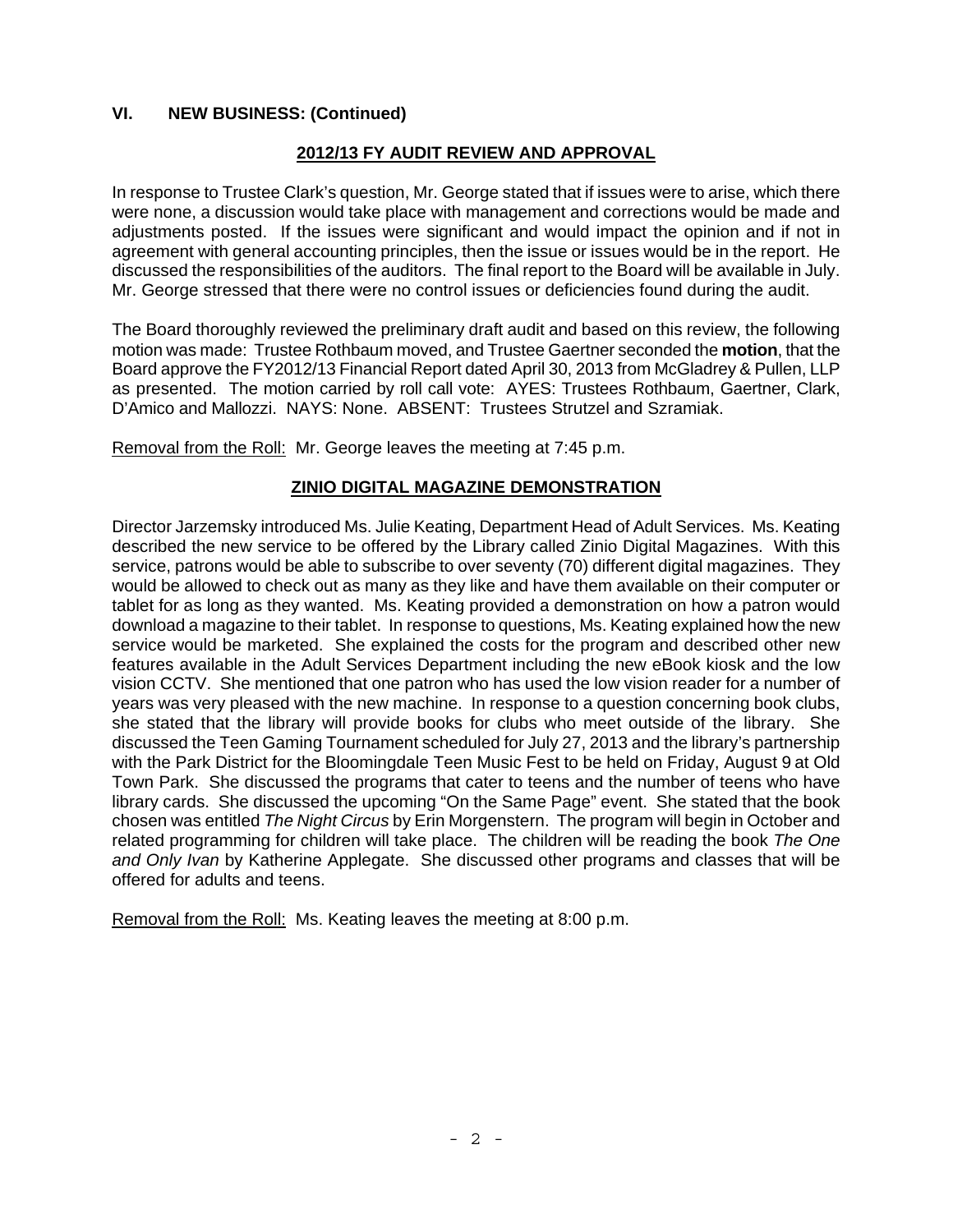### **VI. NEW BUSINESS: (Continued)**

### **2012/13 FY AUDIT REVIEW AND APPROVAL**

In response to Trustee Clark's question, Mr. George stated that if issues were to arise, which there were none, a discussion would take place with management and corrections would be made and adjustments posted. If the issues were significant and would impact the opinion and if not in agreement with general accounting principles, then the issue or issues would be in the report. He discussed the responsibilities of the auditors. The final report to the Board will be available in July. Mr. George stressed that there were no control issues or deficiencies found during the audit.

The Board thoroughly reviewed the preliminary draft audit and based on this review, the following motion was made: Trustee Rothbaum moved, and Trustee Gaertner seconded the **motion**, that the Board approve the FY2012/13 Financial Report dated April 30, 2013 from McGladrey & Pullen, LLP as presented. The motion carried by roll call vote: AYES: Trustees Rothbaum, Gaertner, Clark, D'Amico and Mallozzi. NAYS: None. ABSENT: Trustees Strutzel and Szramiak.

Removal from the Roll: Mr. George leaves the meeting at 7:45 p.m.

### **ZINIO DIGITAL MAGAZINE DEMONSTRATION**

Director Jarzemsky introduced Ms. Julie Keating, Department Head of Adult Services. Ms. Keating described the new service to be offered by the Library called Zinio Digital Magazines. With this service, patrons would be able to subscribe to over seventy (70) different digital magazines. They would be allowed to check out as many as they like and have them available on their computer or tablet for as long as they wanted. Ms. Keating provided a demonstration on how a patron would download a magazine to their tablet. In response to questions, Ms. Keating explained how the new service would be marketed. She explained the costs for the program and described other new features available in the Adult Services Department including the new eBook kiosk and the low vision CCTV. She mentioned that one patron who has used the low vision reader for a number of years was very pleased with the new machine. In response to a question concerning book clubs, she stated that the library will provide books for clubs who meet outside of the library. She discussed the Teen Gaming Tournament scheduled for July 27, 2013 and the library's partnership with the Park District for the Bloomingdale Teen Music Fest to be held on Friday, August 9 at Old Town Park. She discussed the programs that cater to teens and the number of teens who have library cards. She discussed the upcoming "On the Same Page" event. She stated that the book chosen was entitled *The Night Circus* by Erin Morgenstern. The program will begin in October and related programming for children will take place. The children will be reading the book *The One and Only Ivan* by Katherine Applegate. She discussed other programs and classes that will be offered for adults and teens.

Removal from the Roll: Ms. Keating leaves the meeting at 8:00 p.m.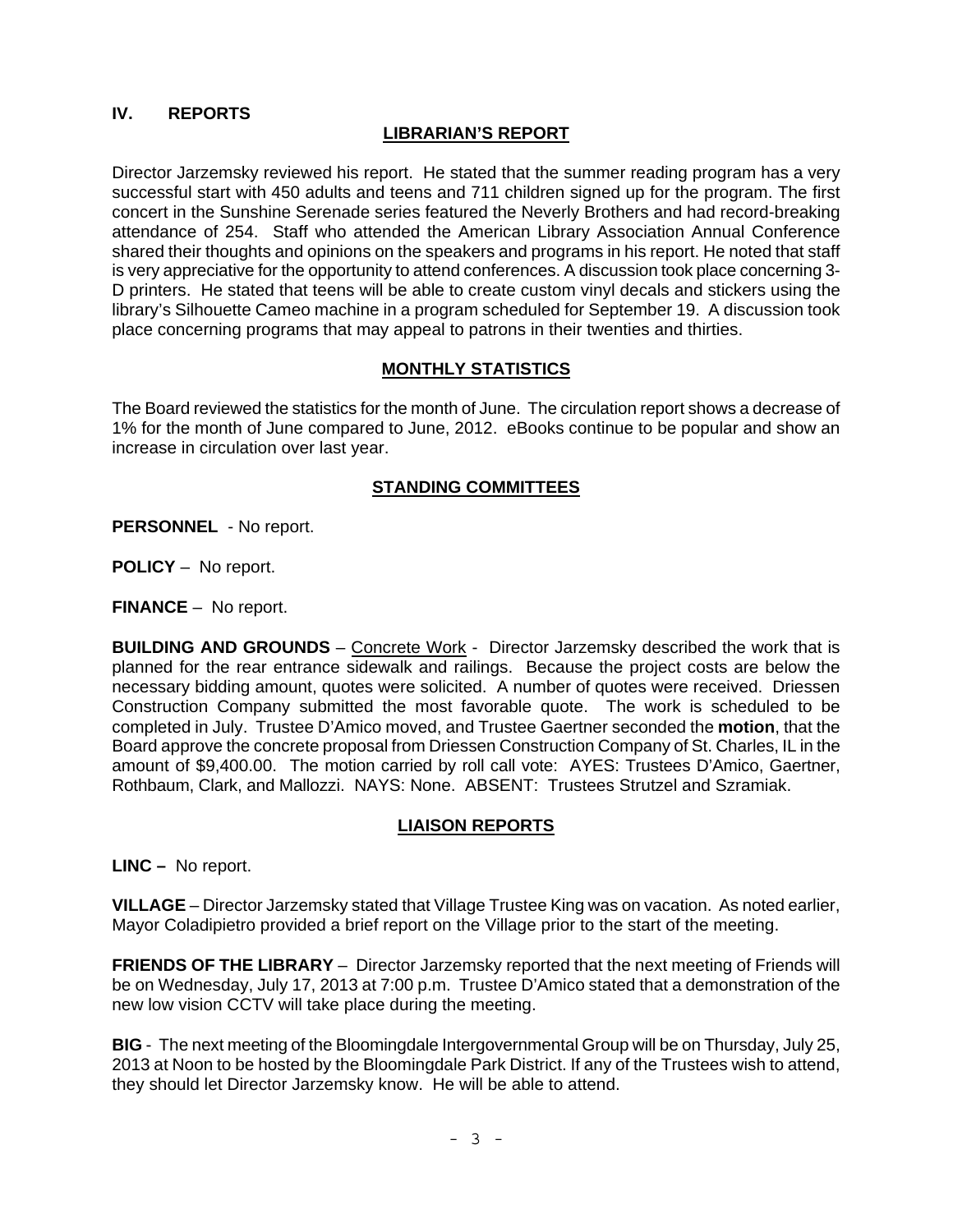# **IV. REPORTS**

#### **LIBRARIAN'S REPORT**

Director Jarzemsky reviewed his report. He stated that the summer reading program has a very successful start with 450 adults and teens and 711 children signed up for the program. The first concert in the Sunshine Serenade series featured the Neverly Brothers and had record-breaking attendance of 254. Staff who attended the American Library Association Annual Conference shared their thoughts and opinions on the speakers and programs in his report. He noted that staff is very appreciative for the opportunity to attend conferences. A discussion took place concerning 3- D printers. He stated that teens will be able to create custom vinyl decals and stickers using the library's Silhouette Cameo machine in a program scheduled for September 19. A discussion took place concerning programs that may appeal to patrons in their twenties and thirties.

#### **MONTHLY STATISTICS**

The Board reviewed the statistics for the month of June. The circulation report shows a decrease of 1% for the month of June compared to June, 2012. eBooks continue to be popular and show an increase in circulation over last year.

#### **STANDING COMMITTEES**

**PERSONNEL** - No report.

**POLICY** – No report.

**FINANCE** – No report.

**BUILDING AND GROUNDS** – Concrete Work - Director Jarzemsky described the work that is planned for the rear entrance sidewalk and railings. Because the project costs are below the necessary bidding amount, quotes were solicited. A number of quotes were received. Driessen Construction Company submitted the most favorable quote. The work is scheduled to be completed in July. Trustee D'Amico moved, and Trustee Gaertner seconded the **motion**, that the Board approve the concrete proposal from Driessen Construction Company of St. Charles, IL in the amount of \$9,400.00. The motion carried by roll call vote: AYES: Trustees D'Amico, Gaertner, Rothbaum, Clark, and Mallozzi. NAYS: None. ABSENT: Trustees Strutzel and Szramiak.

#### **LIAISON REPORTS**

**LINC –** No report.

**VILLAGE** – Director Jarzemsky stated that Village Trustee King was on vacation. As noted earlier, Mayor Coladipietro provided a brief report on the Village prior to the start of the meeting.

**FRIENDS OF THE LIBRARY** – Director Jarzemsky reported that the next meeting of Friends will be on Wednesday, July 17, 2013 at 7:00 p.m. Trustee D'Amico stated that a demonstration of the new low vision CCTV will take place during the meeting.

**BIG** - The next meeting of the Bloomingdale Intergovernmental Group will be on Thursday, July 25, 2013 at Noon to be hosted by the Bloomingdale Park District. If any of the Trustees wish to attend, they should let Director Jarzemsky know. He will be able to attend.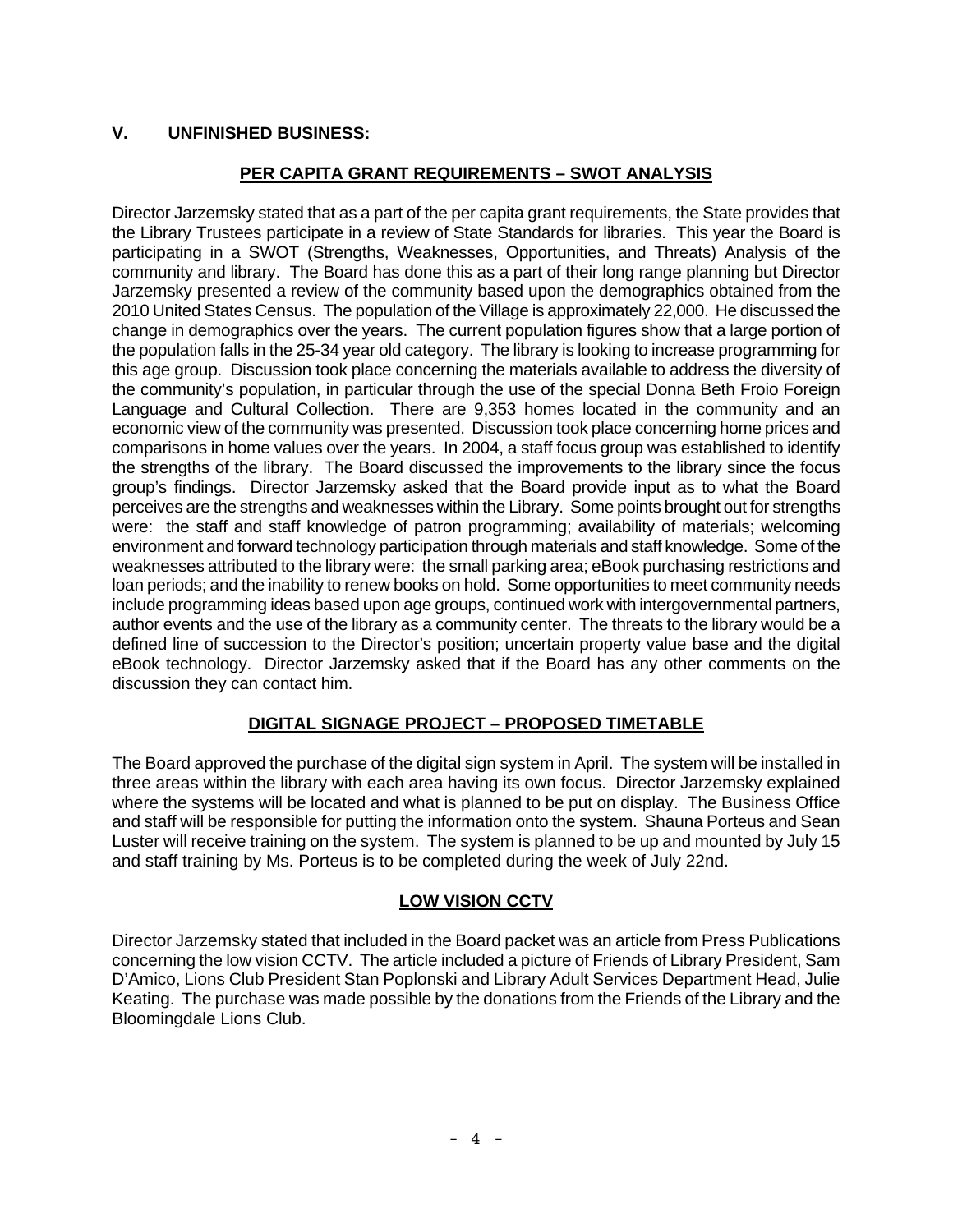# **V. UNFINISHED BUSINESS:**

# **PER CAPITA GRANT REQUIREMENTS – SWOT ANALYSIS**

Director Jarzemsky stated that as a part of the per capita grant requirements, the State provides that the Library Trustees participate in a review of State Standards for libraries. This year the Board is participating in a SWOT (Strengths, Weaknesses, Opportunities, and Threats) Analysis of the community and library. The Board has done this as a part of their long range planning but Director Jarzemsky presented a review of the community based upon the demographics obtained from the 2010 United States Census. The population of the Village is approximately 22,000. He discussed the change in demographics over the years. The current population figures show that a large portion of the population falls in the 25-34 year old category. The library is looking to increase programming for this age group. Discussion took place concerning the materials available to address the diversity of the community's population, in particular through the use of the special Donna Beth Froio Foreign Language and Cultural Collection. There are 9,353 homes located in the community and an economic view of the community was presented. Discussion took place concerning home prices and comparisons in home values over the years. In 2004, a staff focus group was established to identify the strengths of the library. The Board discussed the improvements to the library since the focus group's findings. Director Jarzemsky asked that the Board provide input as to what the Board perceives are the strengths and weaknesses within the Library. Some points brought out for strengths were: the staff and staff knowledge of patron programming; availability of materials; welcoming environment and forward technology participation through materials and staff knowledge. Some of the weaknesses attributed to the library were: the small parking area; eBook purchasing restrictions and loan periods; and the inability to renew books on hold. Some opportunities to meet community needs include programming ideas based upon age groups, continued work with intergovernmental partners, author events and the use of the library as a community center. The threats to the library would be a defined line of succession to the Director's position; uncertain property value base and the digital eBook technology. Director Jarzemsky asked that if the Board has any other comments on the discussion they can contact him.

# **DIGITAL SIGNAGE PROJECT – PROPOSED TIMETABLE**

The Board approved the purchase of the digital sign system in April. The system will be installed in three areas within the library with each area having its own focus. Director Jarzemsky explained where the systems will be located and what is planned to be put on display. The Business Office and staff will be responsible for putting the information onto the system. Shauna Porteus and Sean Luster will receive training on the system. The system is planned to be up and mounted by July 15 and staff training by Ms. Porteus is to be completed during the week of July 22nd.

### **LOW VISION CCTV**

Director Jarzemsky stated that included in the Board packet was an article from Press Publications concerning the low vision CCTV. The article included a picture of Friends of Library President, Sam D'Amico, Lions Club President Stan Poplonski and Library Adult Services Department Head, Julie Keating. The purchase was made possible by the donations from the Friends of the Library and the Bloomingdale Lions Club.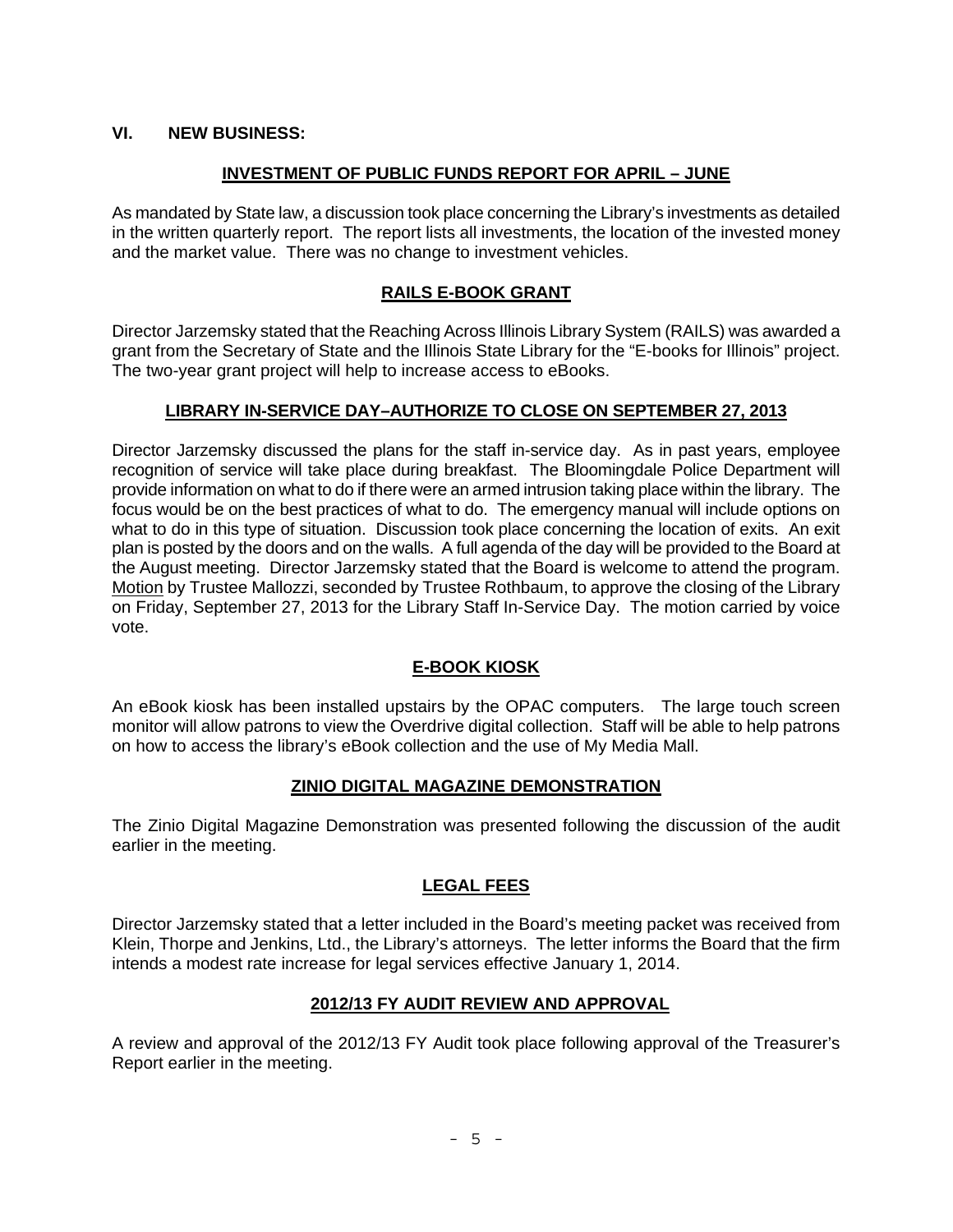### **VI. NEW BUSINESS:**

### **INVESTMENT OF PUBLIC FUNDS REPORT FOR APRIL – JUNE**

As mandated by State law, a discussion took place concerning the Library's investments as detailed in the written quarterly report. The report lists all investments, the location of the invested money and the market value. There was no change to investment vehicles.

### **RAILS E-BOOK GRANT**

Director Jarzemsky stated that the Reaching Across Illinois Library System (RAILS) was awarded a grant from the Secretary of State and the Illinois State Library for the "E-books for Illinois" project. The two-year grant project will help to increase access to eBooks.

### **LIBRARY IN-SERVICE DAY–AUTHORIZE TO CLOSE ON SEPTEMBER 27, 2013**

Director Jarzemsky discussed the plans for the staff in-service day. As in past years, employee recognition of service will take place during breakfast. The Bloomingdale Police Department will provide information on what to do if there were an armed intrusion taking place within the library. The focus would be on the best practices of what to do. The emergency manual will include options on what to do in this type of situation. Discussion took place concerning the location of exits. An exit plan is posted by the doors and on the walls. A full agenda of the day will be provided to the Board at the August meeting. Director Jarzemsky stated that the Board is welcome to attend the program. Motion by Trustee Mallozzi, seconded by Trustee Rothbaum, to approve the closing of the Library on Friday, September 27, 2013 for the Library Staff In-Service Day. The motion carried by voice vote.

# **E-BOOK KIOSK**

An eBook kiosk has been installed upstairs by the OPAC computers. The large touch screen monitor will allow patrons to view the Overdrive digital collection. Staff will be able to help patrons on how to access the library's eBook collection and the use of My Media Mall.

### **ZINIO DIGITAL MAGAZINE DEMONSTRATION**

The Zinio Digital Magazine Demonstration was presented following the discussion of the audit earlier in the meeting.

# **LEGAL FEES**

Director Jarzemsky stated that a letter included in the Board's meeting packet was received from Klein, Thorpe and Jenkins, Ltd., the Library's attorneys. The letter informs the Board that the firm intends a modest rate increase for legal services effective January 1, 2014.

### **2012/13 FY AUDIT REVIEW AND APPROVAL**

A review and approval of the 2012/13 FY Audit took place following approval of the Treasurer's Report earlier in the meeting.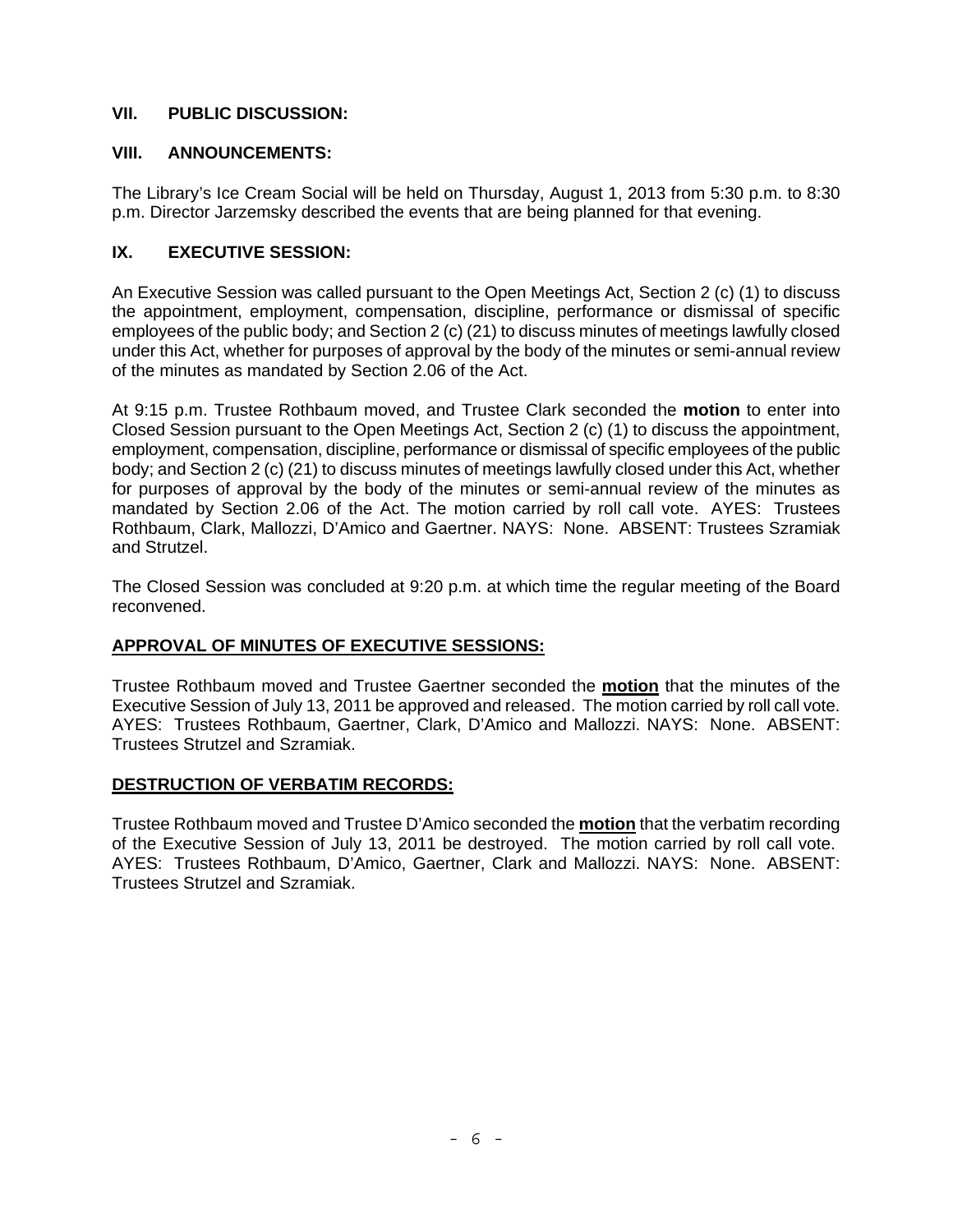### **VII. PUBLIC DISCUSSION:**

### **VIII. ANNOUNCEMENTS:**

The Library's Ice Cream Social will be held on Thursday, August 1, 2013 from 5:30 p.m. to 8:30 p.m. Director Jarzemsky described the events that are being planned for that evening.

# **IX. EXECUTIVE SESSION:**

An Executive Session was called pursuant to the Open Meetings Act, Section 2 (c) (1) to discuss the appointment, employment, compensation, discipline, performance or dismissal of specific employees of the public body; and Section 2 (c) (21) to discuss minutes of meetings lawfully closed under this Act, whether for purposes of approval by the body of the minutes or semi-annual review of the minutes as mandated by Section 2.06 of the Act.

At 9:15 p.m. Trustee Rothbaum moved, and Trustee Clark seconded the **motion** to enter into Closed Session pursuant to the Open Meetings Act, Section 2 (c) (1) to discuss the appointment, employment, compensation, discipline, performance or dismissal of specific employees of the public body; and Section 2 (c) (21) to discuss minutes of meetings lawfully closed under this Act, whether for purposes of approval by the body of the minutes or semi-annual review of the minutes as mandated by Section 2.06 of the Act. The motion carried by roll call vote. AYES: Trustees Rothbaum, Clark, Mallozzi, D'Amico and Gaertner. NAYS: None. ABSENT: Trustees Szramiak and Strutzel.

The Closed Session was concluded at 9:20 p.m. at which time the regular meeting of the Board reconvened.

# **APPROVAL OF MINUTES OF EXECUTIVE SESSIONS:**

Trustee Rothbaum moved and Trustee Gaertner seconded the **motion** that the minutes of the Executive Session of July 13, 2011 be approved and released. The motion carried by roll call vote. AYES: Trustees Rothbaum, Gaertner, Clark, D'Amico and Mallozzi. NAYS: None. ABSENT: Trustees Strutzel and Szramiak.

# **DESTRUCTION OF VERBATIM RECORDS:**

Trustee Rothbaum moved and Trustee D'Amico seconded the **motion** that the verbatim recording of the Executive Session of July 13, 2011 be destroyed. The motion carried by roll call vote. AYES: Trustees Rothbaum, D'Amico, Gaertner, Clark and Mallozzi. NAYS: None. ABSENT: Trustees Strutzel and Szramiak.